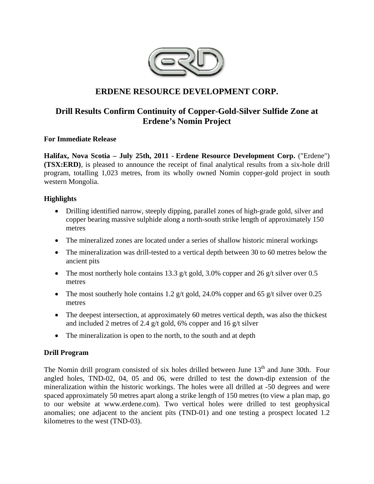

# **ERDENE RESOURCE DEVELOPMENT CORP.**

# **Drill Results Confirm Continuity of Copper-Gold-Silver Sulfide Zone at Erdene's Nomin Project**

**For Immediate Release** 

**Halifax, Nova Scotia – July 25th, 2011 - Erdene Resource Development Corp.** ("Erdene") **(TSX:ERD)**, is pleased to announce the receipt of final analytical results from a six-hole drill program, totalling 1,023 metres, from its wholly owned Nomin copper-gold project in south western Mongolia.

## **Highlights**

- Drilling identified narrow, steeply dipping, parallel zones of high-grade gold, silver and copper bearing massive sulphide along a north-south strike length of approximately 150 metres
- The mineralized zones are located under a series of shallow historic mineral workings
- The mineralization was drill-tested to a vertical depth between 30 to 60 metres below the ancient pits
- The most northerly hole contains 13.3 g/t gold, 3.0% copper and 26 g/t silver over 0.5 metres
- The most southerly hole contains 1.2 g/t gold, 24.0% copper and 65 g/t silver over 0.25 metres
- The deepest intersection, at approximately 60 metres vertical depth, was also the thickest and included 2 metres of 2.4 g/t gold, 6% copper and 16 g/t silver
- The mineralization is open to the north, to the south and at depth

## **Drill Program**

The Nomin drill program consisted of six holes drilled between June 13<sup>th</sup> and June 30th. Four angled holes, TND-02, 04, 05 and 06, were drilled to test the down-dip extension of the mineralization within the historic workings. The holes were all drilled at -50 degrees and were spaced approximately 50 metres apart along a strike length of 150 metres (to view a plan map, go to our website at www.erdene.com). Two vertical holes were drilled to test geophysical anomalies; one adjacent to the ancient pits (TND-01) and one testing a prospect located 1.2 kilometres to the west (TND-03).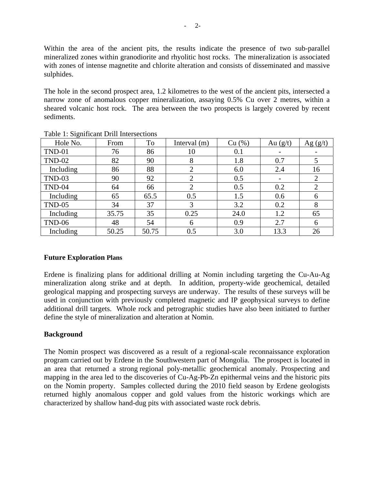Within the area of the ancient pits, the results indicate the presence of two sub-parallel mineralized zones within granodiorite and rhyolitic host rocks. The mineralization is associated with zones of intense magnetite and chlorite alteration and consists of disseminated and massive sulphides.

The hole in the second prospect area, 1.2 kilometres to the west of the ancient pits, intersected a narrow zone of anomalous copper mineralization, assaying 0.5% Cu over 2 metres, within a sheared volcanic host rock. The area between the two prospects is largely covered by recent sediments.

| Hole No.      | From  | To    | Interval $(m)$ | Cu (%) | Au $(g/t)$ | Ag $(g/t)$                   |
|---------------|-------|-------|----------------|--------|------------|------------------------------|
| <b>TND-01</b> | 76    | 86    | 10             | 0.1    |            | $\qquad \qquad \blacksquare$ |
| <b>TND-02</b> | 82    | 90    | 8              | 1.8    | 0.7        |                              |
| Including     | 86    | 88    | $\overline{2}$ | 6.0    | 2.4        | 16                           |
| TND-03        | 90    | 92    | $\overline{2}$ | 0.5    |            | 2                            |
| TND-04        | 64    | 66    | $\overline{2}$ | 0.5    | 0.2        | $\overline{2}$               |
| Including     | 65    | 65.5  | 0.5            | 1.5    | 0.6        | 6                            |
| $TND-05$      | 34    | 37    | 3              | 3.2    | 0.2        | 8                            |
| Including     | 35.75 | 35    | 0.25           | 24.0   | 1.2        | 65                           |
| TND-06        | 48    | 54    | 6              | 0.9    | 2.7        | 6                            |
| Including     | 50.25 | 50.75 | 0.5            | 3.0    | 13.3       | 26                           |

Table 1: Significant Drill Intersections

## **Future Exploration Plans**

Erdene is finalizing plans for additional drilling at Nomin including targeting the Cu-Au-Ag mineralization along strike and at depth. In addition, property-wide geochemical, detailed geological mapping and prospecting surveys are underway. The results of these surveys will be used in conjunction with previously completed magnetic and IP geophysical surveys to define additional drill targets. Whole rock and petrographic studies have also been initiated to further define the style of mineralization and alteration at Nomin.

## **Background**

The Nomin prospect was discovered as a result of a regional-scale reconnaissance exploration program carried out by Erdene in the Southwestern part of Mongolia. The prospect is located in an area that returned a strong regional poly-metallic geochemical anomaly. Prospecting and mapping in the area led to the discoveries of Cu-Ag-Pb-Zn epithermal veins and the historic pits on the Nomin property. Samples collected during the 2010 field season by Erdene geologists returned highly anomalous copper and gold values from the historic workings which are characterized by shallow hand-dug pits with associated waste rock debris.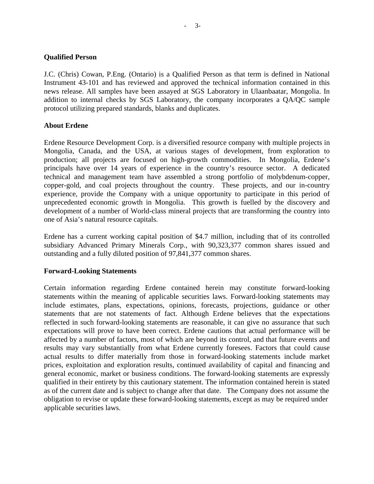### **Qualified Person**

J.C. (Chris) Cowan, P.Eng. (Ontario) is a Qualified Person as that term is defined in National Instrument 43-101 and has reviewed and approved the technical information contained in this news release. All samples have been assayed at SGS Laboratory in Ulaanbaatar, Mongolia. In addition to internal checks by SGS Laboratory, the company incorporates a QA/QC sample protocol utilizing prepared standards, blanks and duplicates.

#### **About Erdene**

Erdene Resource Development Corp. is a diversified resource company with multiple projects in Mongolia, Canada, and the USA, at various stages of development, from exploration to production; all projects are focused on high-growth commodities. In Mongolia, Erdene's principals have over 14 years of experience in the country's resource sector. A dedicated technical and management team have assembled a strong portfolio of molybdenum-copper, copper-gold, and coal projects throughout the country. These projects, and our in-country experience, provide the Company with a unique opportunity to participate in this period of unprecedented economic growth in Mongolia. This growth is fuelled by the discovery and development of a number of World-class mineral projects that are transforming the country into one of Asia's natural resource capitals.

Erdene has a current working capital position of \$4.7 million, including that of its controlled subsidiary Advanced Primary Minerals Corp., with 90,323,377 common shares issued and outstanding and a fully diluted position of 97,841,377 common shares.

### **Forward-Looking Statements**

Certain information regarding Erdene contained herein may constitute forward-looking statements within the meaning of applicable securities laws. Forward-looking statements may include estimates, plans, expectations, opinions, forecasts, projections, guidance or other statements that are not statements of fact. Although Erdene believes that the expectations reflected in such forward-looking statements are reasonable, it can give no assurance that such expectations will prove to have been correct. Erdene cautions that actual performance will be affected by a number of factors, most of which are beyond its control, and that future events and results may vary substantially from what Erdene currently foresees. Factors that could cause actual results to differ materially from those in forward-looking statements include market prices, exploitation and exploration results, continued availability of capital and financing and general economic, market or business conditions. The forward-looking statements are expressly qualified in their entirety by this cautionary statement. The information contained herein is stated as of the current date and is subject to change after that date. The Company does not assume the obligation to revise or update these forward-looking statements, except as may be required under applicable securities laws.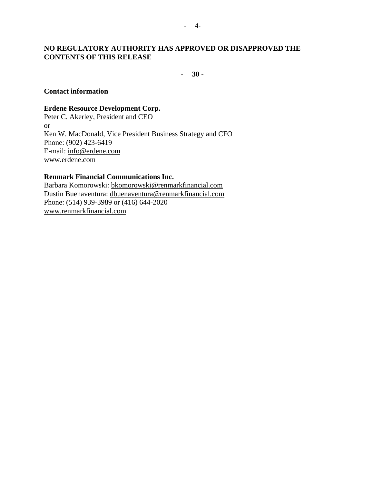## **NO REGULATORY AUTHORITY HAS APPROVED OR DISAPPROVED THE CONTENTS OF THIS RELEASE**

- **30 -** 

#### **Contact information**

#### **Erdene Resource Development Corp.**

Peter C. Akerley, President and CEO or Ken W. MacDonald, Vice President Business Strategy and CFO Phone: (902) 423-6419 E-mail: info@erdene.com www.erdene.com

#### **Renmark Financial Communications Inc.**

Barbara Komorowski: bkomorowski@renmarkfinancial.com Dustin Buenaventura: dbuenaventura@renmarkfinancial.com Phone: (514) 939-3989 or (416) 644-2020 www.renmarkfinancial.com